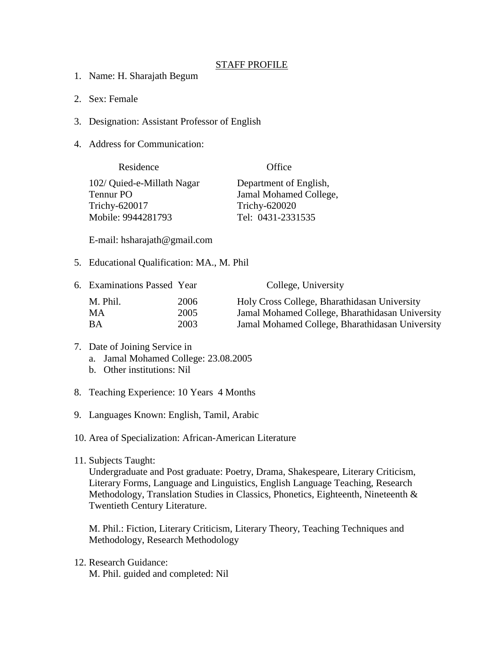## STAFF PROFILE

- 1. Name: H. Sharajath Begum
- 2. Sex: Female
- 3. Designation: Assistant Professor of English
- 4. Address for Communication:

| Office                 |
|------------------------|
| Department of English, |
| Jamal Mohamed College, |
| Trichy-620020          |
| Tel: 0431-2331535      |
|                        |

E-mail: hsharajath@gmail.com

5. Educational Qualification: MA., M. Phil

| 6. Examinations Passed Year |      | College, University                             |
|-----------------------------|------|-------------------------------------------------|
| M. Phil.                    | 2006 | Holy Cross College, Bharathidasan University    |
| MA.                         | 2005 | Jamal Mohamed College, Bharathidasan University |
| BА                          | 2003 | Jamal Mohamed College, Bharathidasan University |

## 7. Date of Joining Service in a. Jamal Mohamed College: 23.08.2005

- b. Other institutions: Nil
- 8. Teaching Experience: 10 Years 4 Months
- 9. Languages Known: English, Tamil, Arabic

10. Area of Specialization: African-American Literature

11. Subjects Taught:

Undergraduate and Post graduate: Poetry, Drama, Shakespeare, Literary Criticism, Literary Forms, Language and Linguistics, English Language Teaching, Research Methodology, Translation Studies in Classics, Phonetics, Eighteenth, Nineteenth & Twentieth Century Literature.

M. Phil.: Fiction, Literary Criticism, Literary Theory, Teaching Techniques and Methodology, Research Methodology

12. Research Guidance: M. Phil. guided and completed: Nil